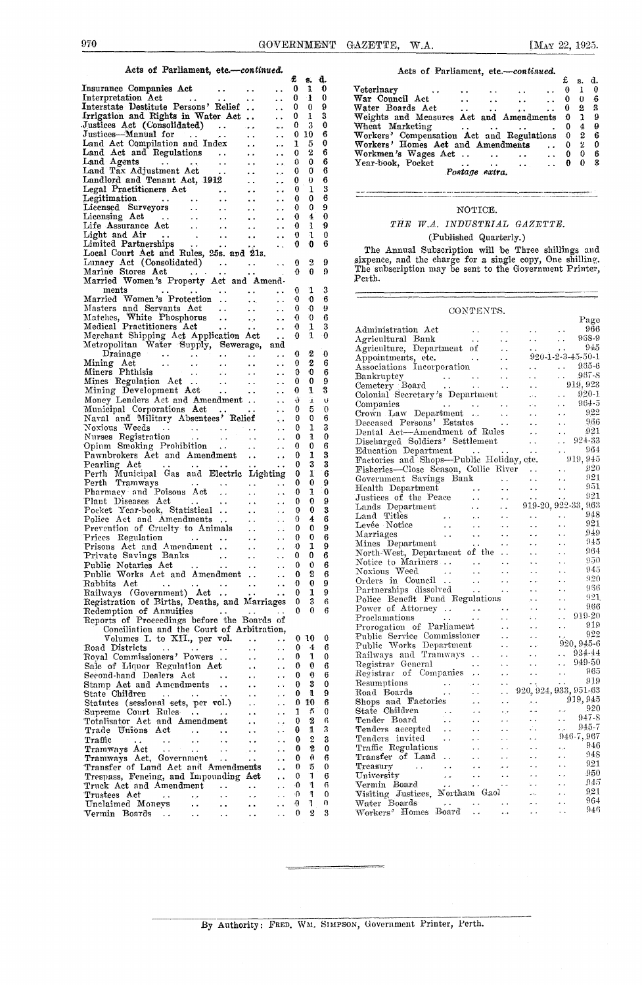#### Acts of Parliament, *etc.—continued*

| лсь от гатпашент, етс.-гопиниес.                                                                                                                                             |                        |                        |                      |               |                     |        |
|------------------------------------------------------------------------------------------------------------------------------------------------------------------------------|------------------------|------------------------|----------------------|---------------|---------------------|--------|
|                                                                                                                                                                              |                        |                        |                      | £             | 8.                  | d.     |
| Insurance Companies Act                                                                                                                                                      |                        |                        |                      | 0             | 1                   | 0      |
| Interpretation Act                                                                                                                                                           |                        |                        |                      | 0             | 1                   | 0      |
| Interstate Destitute Persons' Relief                                                                                                                                         |                        |                        |                      | 0             | 0                   | 9      |
|                                                                                                                                                                              |                        | . .                    | . .                  |               |                     |        |
| Irrigation and Rights in Water Act                                                                                                                                           |                        |                        |                      | 0             | 1                   | 3      |
| Justices Act (Consolidated)<br>$\sim$ $\sim$                                                                                                                                 |                        | $\rightarrow$          |                      | 0             | 3                   | 0      |
| Justices—Manual for                                                                                                                                                          | $\bullet$ $\bullet$    | $\ddot{\phantom{0}}$   | . .                  | 0             | 10                  | 6      |
| Land Act Compilation and Index                                                                                                                                               |                        | . .                    |                      | ı             | 5                   | 0      |
| Land Act and Regulations<br>$\sim$ 10 $\pm$                                                                                                                                  |                        | $\ddot{\phantom{1}}$   | . .                  | 0             | 2                   | 6      |
| Land Agents<br>$\sim 10$<br>$\sim$ $\sim$                                                                                                                                    | $\ddot{\phantom{a}}$   | $\ddot{\phantom{1}}$   | ÷.                   | 0             | 0                   | 6      |
| Land Tax Adjustment Act                                                                                                                                                      |                        |                        |                      | 0             | 0                   | 6      |
| $\rightarrow$ $\rightarrow$                                                                                                                                                  |                        | . .                    | ه. ه                 |               |                     |        |
| Landlord and Tenant Act, 1912                                                                                                                                                |                        | $\ddotsc$              | ۰,                   | 0             | 0                   | 6      |
| Legal Practitioners Act<br>$\sim$ $\sim$                                                                                                                                     |                        | é,                     | а,                   | 0             | ı                   | 3      |
| Legitimation<br>$\frac{1}{2}$ , $\frac{1}{2}$                                                                                                                                | $\bullet$ $\bullet$    |                        | . .                  | 0             | 0                   | 6      |
| Licensed Surveyors                                                                                                                                                           | $\ddot{\phantom{1}}$   | ٠.                     | . .                  | 0             | 0                   | 9      |
|                                                                                                                                                                              | ور و                   | $\ddot{\phantom{1}}$   |                      | 0             | 4                   | 0      |
|                                                                                                                                                                              |                        |                        |                      | 0             | 1                   | 9      |
|                                                                                                                                                                              | . .                    | $\ddot{\phantom{1}}$   | $\cdot$ $\cdot$      |               |                     |        |
| $\sim$ .<br>Limited Partnerships                                                                                                                                             | $\ddot{\phantom{0}}$   | $\ddotsc$              | . .                  | 0             | 1                   | 0      |
| Limited Partnerships<br>Local Court Act and Rules, 25s. and 21s.                                                                                                             |                        |                        |                      | 0             | 0                   | 6      |
|                                                                                                                                                                              |                        |                        |                      |               |                     |        |
| Lunacy Act (Consolidated)<br>$\sim$ $\sim$                                                                                                                                   |                        | $\sim$ $\sim$          |                      | 0             | 2                   | 9      |
| Marine Stores Act<br>$\sim$ $\sim$                                                                                                                                           |                        |                        |                      | 0             | 0                   | 9      |
| Married Women's Property Act and Amend-                                                                                                                                      |                        |                        |                      |               |                     |        |
|                                                                                                                                                                              |                        |                        |                      |               |                     |        |
| ments                                                                                                                                                                        |                        | $\ddot{\phantom{0}}$   |                      | 0             | 1                   | 3      |
| Married Women's Protection                                                                                                                                                   |                        | $\ddot{\phantom{a}}$ . |                      | 0             | -0                  | 6      |
| Masters and Servants Act<br>$\sim$ 100 $\pm$                                                                                                                                 |                        | $\ddotsc$              | . .                  | 0             | $\ddot{\mathbf{0}}$ | 9      |
| Matches, White Phosphorus                                                                                                                                                    | $\ddot{\phantom{a}}$ . | $\bullet$ . $\bullet$  | د. ه                 | 0             | Ю                   | 6      |
| Medical Practitioners Act                                                                                                                                                    |                        |                        |                      | 0             | 1                   | 3      |
|                                                                                                                                                                              | $\bullet$ $\bullet$    | $\ddot{\phantom{0}}$ . | $\ddot{\phantom{0}}$ | 0             | 1                   | -0     |
| Merchant Shipping Act Application Act<br>Metropolitan Water Supply, Sewerage, and                                                                                            |                        |                        |                      |               |                     |        |
|                                                                                                                                                                              |                        |                        |                      |               |                     |        |
| Drainage<br>$\sim$ $\sim$<br>$\sim$                                                                                                                                          |                        | е.                     | $\ddot{\phantom{1}}$ | 0             | 2                   | 0      |
| $\frac{1}{2}$<br>Mining Act<br>$\rightarrow$ $\rightarrow$                                                                                                                   | $\ddot{\phantom{0}}$   | $\ddot{\phantom{0}}$   | ٠.                   | 0             | 2                   | 6      |
| Miners Phthisis                                                                                                                                                              |                        | ÷.                     | . .                  | 0             | 0                   | 6      |
|                                                                                                                                                                              |                        |                        |                      | 0             | 0                   | 9      |
| Mining Development Act<br>Money Lendow                                                                                                                                       | $\sim 10^{-1}$         | $\ddot{\phantom{1}}$ . | $\ddot{\phantom{0}}$ |               |                     | 3      |
|                                                                                                                                                                              | $\sim 10^{-11}$        | $\sim$ $\sim$          | ٠.                   | 0             | 1                   |        |
| Money Lenders Act and Amendment                                                                                                                                              |                        |                        | $\ddot{\phantom{0}}$ | Û             | ï                   | V      |
| Municipal Corporations Act                                                                                                                                                   | $\sim 10$              |                        | $\ddot{\phantom{1}}$ | 0             | 5                   | 0      |
| Naval and Military Absentees' Relief                                                                                                                                         |                        |                        | ٠.                   | 0             | 0                   | 6      |
|                                                                                                                                                                              |                        |                        |                      | 0             | 1                   | 3      |
|                                                                                                                                                                              |                        |                        | $\ddot{\phantom{1}}$ |               |                     |        |
|                                                                                                                                                                              |                        |                        | $\ddot{\phantom{0}}$ | 0             | 1                   | 0      |
|                                                                                                                                                                              |                        | $\sim$ $\sim$          | $\ddot{\phantom{1}}$ | 0             | 0                   | 6      |
|                                                                                                                                                                              |                        |                        | . .                  | 0             | 1                   | 3      |
| Naval and <i>annuary</i><br>Novious Weeds<br>Nurses Registration<br>Opium Smoking Prohibition<br>Pawnbrokers Act and Amendment<br>And Act and Amendment<br>Act and Amendment |                        |                        |                      | 0             | 3                   | 3      |
| Pearling Act<br>Perth Municipal Gas and Electric Lighting                                                                                                                    |                        |                        |                      | 0             | 1                   | 6      |
|                                                                                                                                                                              |                        |                        |                      | 0             | 0                   | 9      |
| Perth Tramways                                                                                                                                                               |                        |                        |                      |               |                     |        |
| Pharmacy and Poisons Act                                                                                                                                                     |                        | . .                    | $\ddot{\phantom{1}}$ | 0             | 1                   | 0      |
| Plant Diseases Act                                                                                                                                                           | $\sim$ $\sim$          |                        |                      | 0             | 0                   | 9      |
| Pocket Year-book, Statistical                                                                                                                                                |                        | $\ddot{\phantom{1}}$ . |                      | 0             | 0                   | 3      |
| Police Act and Amendments                                                                                                                                                    |                        | $\ddotsc$              | $\ddot{\phantom{0}}$ | 0             | 4                   | 6      |
| Prevention of Cruelty to Animals                                                                                                                                             |                        | $\ddot{\phantom{0}}$   |                      | 0             | 0                   | 9      |
| Prices Regulation                                                                                                                                                            |                        |                        |                      | 0             | 0                   | 6      |
|                                                                                                                                                                              |                        | $\epsilon$ .           |                      |               |                     |        |
| Prisons Act and Amendment                                                                                                                                                    |                        | $\sim$                 | . .                  | O             | 1                   | 9      |
| Private Savings Banks                                                                                                                                                        | $\ddot{\phantom{1}}$   | $\ddot{\phantom{1}}$   |                      | 0             | 0                   | 6      |
| Public Notaries Act                                                                                                                                                          | $\ddot{\phantom{1}}$ . | $\epsilon$ .           | $\ddot{\phantom{1}}$ | 0             | 0                   | 6      |
| Public Works Act and Amendment                                                                                                                                               |                        |                        |                      | 0             | 2                   | 6      |
| Rabbits Act<br>$\ddot{\phantom{a}}$                                                                                                                                          |                        |                        |                      | 0             | 0                   | 9      |
|                                                                                                                                                                              |                        |                        |                      | 0             | 1                   | 9      |
| Railways (Government) Act                                                                                                                                                    | $\ddot{\phantom{1}}$ . | ć,                     | $\ddot{\phantom{0}}$ |               |                     |        |
| Registration of Births, Deaths, and Marriages                                                                                                                                |                        |                        |                      | 0             | 3                   | 6      |
| Redemption of Annuities<br>$\sim$ $\sim$                                                                                                                                     |                        | $\ddot{\phantom{0}}$   | $\ddot{\phantom{0}}$ | 0             | 0                   | 6      |
| Reports of Proceedings before the Boards of                                                                                                                                  |                        |                        |                      |               |                     |        |
| Conciliation and the Court of Arbitration,                                                                                                                                   |                        |                        |                      |               |                     |        |
| Volumes I. to XII., per vol.                                                                                                                                                 |                        | $\ddot{\phantom{0}}$   | $\ddot{\phantom{0}}$ | -0            | 10                  | 0      |
|                                                                                                                                                                              |                        |                        |                      |               | 4                   | 6      |
| Road Districts<br>$\sim$ $\sim$                                                                                                                                              |                        |                        | . .                  | 0             |                     |        |
| Royal Commissioners' Powers                                                                                                                                                  |                        |                        | $\ddot{\phantom{a}}$ | 0             | 1                   | 0      |
| Sale of Liquor Regulation Act                                                                                                                                                |                        |                        |                      | 0             | 0                   | 6      |
| Second-hand Dealers Act                                                                                                                                                      | $\ddotsc$              | . .                    |                      | 0             | 0                   | 6      |
| Stamp Act and Amendments                                                                                                                                                     | $\ddot{\phantom{0}}$   |                        | $\ddot{\phantom{a}}$ | 0             | 3                   | 0      |
| State Children                                                                                                                                                               |                        |                        |                      | 0             | 1                   | 9      |
| $\sim 10$<br>$\sim$ 100 $\pm$                                                                                                                                                |                        |                        |                      |               |                     |        |
| Statutes (sessional sets, per vol.)                                                                                                                                          |                        |                        | $\ddot{\phantom{1}}$ | 0             | 10                  | 6      |
| Supreme Court Rules<br>$\sim$ $\sim$                                                                                                                                         |                        |                        |                      | 1             | 5                   | 0      |
| Totalisator Act and Amendment                                                                                                                                                |                        |                        |                      | 0             | 2                   | 6      |
| Trade Unions Act<br>$\ddot{\phantom{0}}$                                                                                                                                     | $\ddot{\phantom{0}}$   |                        | $\ddot{\phantom{0}}$ | 0             | 1                   | 3      |
| Traffic<br>$\ddot{\phantom{0}}$<br>$\sim$ $\sim$<br>$\ddot{\phantom{0}}$                                                                                                     | $\ddot{\phantom{0}}$   |                        |                      | 0             | 2                   | 3      |
| $\sim 10^{-11}$                                                                                                                                                              |                        |                        |                      | 0             | 2                   | 0      |
| Tramways Act<br>$\sim$ .<br>$\ddot{\phantom{1}}$ .                                                                                                                           | $\epsilon$ .           | ۰.                     |                      |               |                     |        |
| Tramways Act, Government<br>$\sim$ .                                                                                                                                         |                        | $\ddot{\phantom{0}}$   |                      | 0             | 0                   | 6      |
| Transfer of Land Act and Amendments                                                                                                                                          |                        |                        |                      | 0             | 5                   | 0      |
| Trespass, Fencing, and Impounding Act                                                                                                                                        |                        |                        |                      | 0             | Ţ                   | 6      |
| Truck Act and Amendment                                                                                                                                                      | $\ddot{\phantom{0}}$   | $\ddot{\phantom{a}}$   |                      | -0            | 1                   | 6      |
| Trustees Act<br>$\bullet$ . $\bullet$                                                                                                                                        |                        |                        |                      | -೧            | ٩                   | 0      |
| $\bullet$ . $\bullet$                                                                                                                                                        |                        |                        |                      |               |                     |        |
|                                                                                                                                                                              | . .                    |                        |                      |               |                     |        |
| Unclaimed Moneys<br>$\ddot{\phantom{1}}$<br>Vermin Boards<br>$\sim$ .                                                                                                        | . .                    |                        |                      | Ð<br>$\theta$ | 1<br>2              | o<br>3 |

|  |  |  | Acts of Parliament, etc.-continued. |
|--|--|--|-------------------------------------|
|--|--|--|-------------------------------------|

| Acts от тагнашен, есе.— <i>соктава</i> .  |                                 |        |                                           |            |              |    |    |  |
|-------------------------------------------|---------------------------------|--------|-------------------------------------------|------------|--------------|----|----|--|
|                                           |                                 |        |                                           |            | £            | s. | d. |  |
| Veterinary<br>$\sim$                      |                                 |        |                                           |            | 0            |    | 0  |  |
| War Council Act                           |                                 |        | <b><i>Charles Committee States</i></b>    |            | $\mathbf{0}$ | ₩  | 6  |  |
| Water Boards Act                          | <b><i>Contract Contract</i></b> |        | <b>Contractor</b> Service                 | $\ldots$ 0 |              | 2. | В  |  |
| Weights and Measures Act and Amendments   |                                 |        |                                           |            | 0            |    | 9  |  |
| Wheat Marketing                           |                                 |        | <b><i>Charles Committee States</i></b>    |            | 0            | 4  | 9  |  |
| Workers' Compensation Act and Regulations |                                 |        |                                           |            | 0            | 2  | 6  |  |
| Workers' Homes Act and Amendments         |                                 |        |                                           |            | 0            | 2  | 0  |  |
| Workmen's Wages Act                       |                                 | $\sim$ |                                           |            | 0            | 0  | 6  |  |
| Year-book. Pocket                         | $\sim$ $\sim$ $\sim$            |        | <b>Address Contract Contract Contract</b> |            |              | n  | 3  |  |
| Postage extra.                            |                                 |        |                                           |            |              |    |    |  |

### NOTICE. *THE W.A. INDUSTRIAL GAZETTE.*

## (Published Quarterly.)

The Annual Subscription will be Three shillings and sixpence, and the charge for a single copy, One shilling. The subscription may be sent to the Government Printer, Perth.

#### CONTENTS.

|                                                                                                          | .                                                                                                  |                        |                                                                                         |                         |                              |                             |                                 |
|----------------------------------------------------------------------------------------------------------|----------------------------------------------------------------------------------------------------|------------------------|-----------------------------------------------------------------------------------------|-------------------------|------------------------------|-----------------------------|---------------------------------|
|                                                                                                          |                                                                                                    |                        |                                                                                         |                         |                              |                             | Page                            |
| Administration Act                                                                                       |                                                                                                    | $\sim$ $\sim$          |                                                                                         |                         | $\cdots$                     | $\ddot{\phantom{0}}$        | 966                             |
| Agricultural Bank                                                                                        |                                                                                                    | $\sim$ $\sim$          |                                                                                         | . .                     | $\sim 10^{-11}$              | $\mathcal{L}(\mathbf{r})$   | 938-9                           |
| Agriculture, Department of                                                                               |                                                                                                    |                        |                                                                                         | . .                     | ò,                           | $\mathbf{y}$                | 945                             |
| Appointments, etc.                                                                                       |                                                                                                    | $\sim 10^{-1}$         |                                                                                         | $\ddot{\phantom{a}}$    |                              |                             | $920 - 1 - 2 - 3 - 45 - 50 - 1$ |
| Associations Incorporation                                                                               |                                                                                                    |                        |                                                                                         | $\sim$                  | $\sim$                       | $\sim 10^{-1}$              | $935 - 6$                       |
|                                                                                                          |                                                                                                    |                        |                                                                                         | $\sim$ .                | $\sim$                       | $\mathcal{L}(\mathbf{x})$ . | 967-8                           |
| Bankruptcy<br>Cemetery Board                                                                             |                                                                                                    |                        |                                                                                         | $\ddot{\phantom{0}}$    | k.                           |                             | 919, 923                        |
| Colonial Secretary's Department                                                                          |                                                                                                    |                        |                                                                                         |                         |                              | $\ddotsc$                   | $920 - 1$                       |
|                                                                                                          |                                                                                                    |                        |                                                                                         |                         | $\mathbf{r}$                 |                             | $96 + 5$                        |
| Companies                                                                                                |                                                                                                    |                        |                                                                                         | $\sim$ 10 $\pm$         |                              | i.                          | - 922                           |
| Crown Law Department                                                                                     |                                                                                                    |                        |                                                                                         | $\sim$ $\sim$           | $\ddotsc$                    | $\ddot{\phantom{0}}$        |                                 |
| Deceased Persons' Estates                                                                                |                                                                                                    |                        |                                                                                         |                         | $\ddot{\phantom{0}}$         | $\ddot{\phantom{0}}$        | 966                             |
| Dental Act-Amendment of Rules                                                                            |                                                                                                    |                        |                                                                                         |                         | $\sim$ $\sim$                | $\sim 10^{-1}$              | 921                             |
| Discharged Soldiers' Settlement                                                                          |                                                                                                    |                        |                                                                                         |                         | $\sim 10^{-1}$               |                             | $\therefore$ 924-33             |
| Education Department                                                                                     |                                                                                                    |                        |                                                                                         |                         |                              | $\mathcal{O}(\mathcal{O})$  | 964                             |
| Education Department<br>Factories and Shops—Public Holiday, etc.<br>Fisheries—Close Season, Collie River |                                                                                                    |                        |                                                                                         |                         |                              |                             | 919, 945                        |
|                                                                                                          |                                                                                                    |                        |                                                                                         |                         |                              | $\mathcal{L}(\mathbf{z})$   | 920                             |
| Government Savings Bank                                                                                  |                                                                                                    |                        |                                                                                         | $\sim 100$ km s $^{-1}$ | $\sim 10^{-1}$               | $\mathcal{L}(\mathbf{x})$   | 921                             |
| Health Department                                                                                        |                                                                                                    | $\ddot{\phantom{0}}$   |                                                                                         | $\ddotsc$               | $\ddot{\phantom{a}}$         | $\ddot{\phantom{1}}$ .      | 951                             |
| Justices of the Peace                                                                                    |                                                                                                    | $\ddot{\phantom{a}}$ . |                                                                                         | $\ddot{\phantom{a}}$    | $\ddotsc$                    | $\epsilon$ , $\epsilon$     | 921                             |
|                                                                                                          |                                                                                                    |                        |                                                                                         |                         |                              |                             | 919-20, 922-33, 963             |
| Lands Department                                                                                         |                                                                                                    | $\sim$ $\sim$          |                                                                                         | И.                      |                              |                             | -948                            |
| mana rities<br>Levée Notice<br>Marriages (1990)<br>Mines Dar                                             |                                                                                                    | $\sim 10^{-11}$        |                                                                                         | $\sim$ $\sim$           |                              | $\ddot{\phantom{0}}$        | 921                             |
|                                                                                                          |                                                                                                    | $\sim$ $\sim$          |                                                                                         | $\sim$ $\sim$           |                              | $\ddot{\phantom{0}}$        |                                 |
| marriages<br>Mines Department<br>North West                                                              |                                                                                                    | $\sim$ $\sim$          |                                                                                         | $\ddotsc$               |                              | $\ddotsc$                   | 949                             |
|                                                                                                          |                                                                                                    | $\chi$ .               |                                                                                         | $\sim$                  | ÷.                           | . .                         | 945                             |
| North-West, Department of the                                                                            |                                                                                                    |                        |                                                                                         |                         |                              | Ϋ.                          | 964                             |
| Notice to Mariners $\dots$ $\dots$                                                                       |                                                                                                    |                        |                                                                                         |                         | $\ddot{\phantom{0}}$         | $\ddotsc$                   | 950                             |
| Noxious Weed<br>$\sim 100$ km s $^{-1}$                                                                  |                                                                                                    | $\sim 10^{-1}$         |                                                                                         | $\sim$ $\sim$           |                              | . .                         | 945                             |
| Orders in Council<br>Partnerships dissolved                                                              |                                                                                                    | $\sim 10^{-1}$         |                                                                                         | $\sim$ $\sim$           | $\ddot{\phantom{0}}$         | $\ddot{\phantom{a}}$        | 920                             |
|                                                                                                          |                                                                                                    |                        | $\mathbf{1}$ , $\mathbf{1}$ , $\mathbf{1}$ , $\mathbf{1}$ , $\mathbf{1}$ , $\mathbf{1}$ |                         |                              | ùч                          | 956                             |
| Police Benefit Fund Regulations                                                                          |                                                                                                    |                        |                                                                                         |                         | $\ddot{\phantom{1}}$         | ٠.                          | 921.                            |
|                                                                                                          |                                                                                                    |                        |                                                                                         | $\sim 100$ km $^{-2}$   |                              | $\ddot{\phantom{0}}$        | 966                             |
|                                                                                                          |                                                                                                    |                        |                                                                                         | $\sim$ $\sim$           | $\mathcal{L}(\mathcal{A})$ . | $\ddotsc$                   | 919-20                          |
| Prorogation of Parliament                                                                                |                                                                                                    |                        |                                                                                         | $\ddot{\phantom{a}}$    | $\ddot{\phantom{0}}$         | i,                          | 919                             |
| Public Service Commissioner                                                                              |                                                                                                    |                        |                                                                                         |                         |                              |                             | 922                             |
|                                                                                                          |                                                                                                    |                        |                                                                                         | i.                      | $\sim$ $\sim$                |                             | 920, 945-6                      |
| Public Works Department                                                                                  |                                                                                                    |                        |                                                                                         | $\sim$ $\sim$           | <b>Contract</b>              |                             | $. 934 - 44$                    |
| Railways and Tramways                                                                                    |                                                                                                    |                        |                                                                                         | $\ddot{\phantom{a}}$    | $\sim$                       |                             |                                 |
| Registrar General                                                                                        |                                                                                                    | $\sim$ $\sim$          |                                                                                         | $\sim$ $\sim$           | $\sim$                       |                             | $. 949-50$                      |
| Registrar of Companies                                                                                   |                                                                                                    | $\sim$ $\sim$          |                                                                                         | $\ddot{\phantom{0}}$    | $\ddot{\phantom{a}}$ .       |                             | -965<br>$\frac{1}{2}$ 919       |
| Resumptions                                                                                              |                                                                                                    |                        |                                                                                         | $\sim$ $\alpha$         |                              |                             |                                 |
|                                                                                                          |                                                                                                    |                        |                                                                                         | $\ddot{\phantom{0}}$    | 920, 924, 933, 951-63        |                             |                                 |
| Shops and Factories<br>Shops and American<br>State Children<br>Tenders accepted<br>Andrea invited        |                                                                                                    | $\ddot{\phantom{a}}$   |                                                                                         | $\mathbf{r}$            | $\sim$ $\sim$                |                             | 919,945                         |
|                                                                                                          |                                                                                                    | $\ddot{\phantom{0}}$   |                                                                                         | $\epsilon$ , $\epsilon$ | $\overline{\phantom{a}}$     | $\sigma$ , $\sigma$         | 920                             |
|                                                                                                          |                                                                                                    | $\ddot{\phantom{0}}$   |                                                                                         | $\sim$ $\sim$           | $\ddot{\phantom{0}}$         | a an                        | $947 - 8$                       |
|                                                                                                          |                                                                                                    | $\ddot{\phantom{0}}$   |                                                                                         |                         | ÷.                           | $\mathbb{R}^{\mathbb{Z}_2}$ | $945 - 7$                       |
|                                                                                                          |                                                                                                    | $\ddot{\phantom{0}}$   |                                                                                         | $\ddot{\phantom{0}}$    | $\ddotsc$                    |                             | 946-7,967                       |
|                                                                                                          |                                                                                                    |                        |                                                                                         |                         |                              | المرام                      | 946                             |
| Traffic Regulations                                                                                      |                                                                                                    | $\ddot{\phantom{1}}$   |                                                                                         |                         |                              |                             | 948                             |
| Transfer of Land<br>Treasury<br>University<br>Webster                                                    |                                                                                                    | $\sim$ $\sim$          |                                                                                         | $\sim$ $\sim$           |                              | И.                          | 921                             |
|                                                                                                          |                                                                                                    | $\ddot{\phantom{1}}$ . |                                                                                         | j.                      | ٠.                           | $\sim$ $\sim$               | 950                             |
|                                                                                                          |                                                                                                    |                        |                                                                                         |                         |                              | $\sim$ $\sim$               | 945                             |
| University<br>Vermin Board<br>Visiting Justices, Northam Gaol<br>Wotay Boards                            |                                                                                                    |                        |                                                                                         |                         |                              | $\ddot{\phantom{a}}$        |                                 |
|                                                                                                          |                                                                                                    |                        |                                                                                         |                         | $\sim$ $\sim$                | $\ddot{\phantom{0}}$        | 921                             |
|                                                                                                          | $\mathcal{L}^{\mathcal{A}}$ and $\mathcal{L}^{\mathcal{A}}$ . The contribution of the contribution |                        |                                                                                         |                         | $\lambda$ .                  | u v                         | 964                             |
| Water Boards<br>Workers' Homes Board                                                                     |                                                                                                    | $\sim$                 |                                                                                         | $\ddotsc$               | $\ddot{\phantom{0}}$         | $\ddotsc$                   | 946                             |
|                                                                                                          |                                                                                                    |                        |                                                                                         |                         |                              |                             |                                 |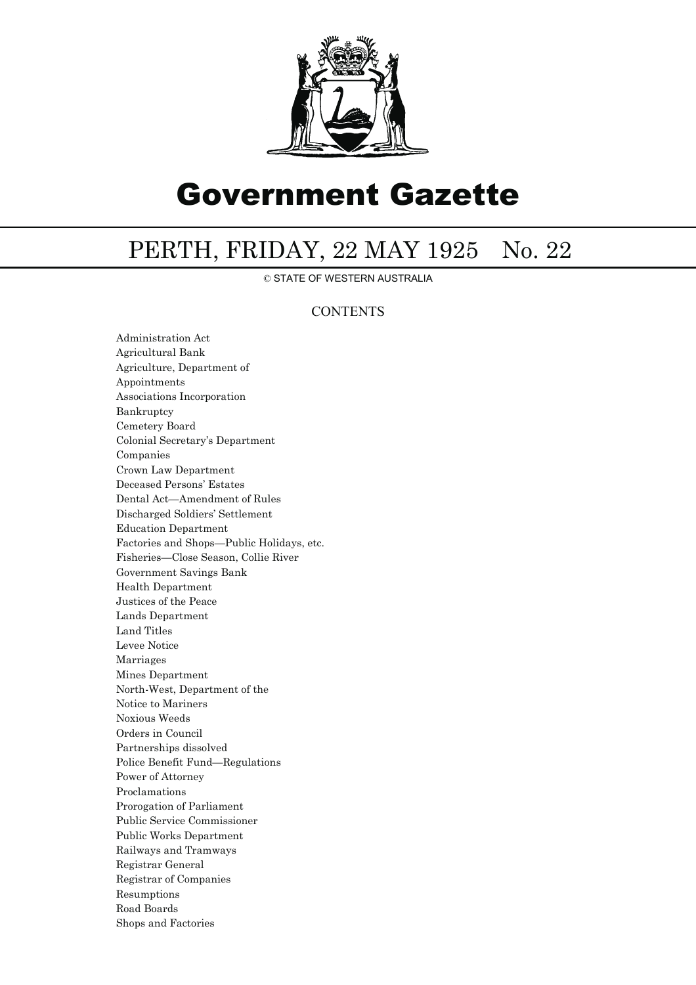

# Government Gazette

## PERTH, FRIDAY, 22 MAY 1925 No. 22

© STATE OF WESTERN AUSTRALIA

## **CONTENTS**

Administration Act Agricultural Bank Agriculture, Department of Appointments Associations Incorporation Bankruptcy Cemetery Board Colonial Secretary's Department Companies Crown Law Department Deceased Persons' Estates Dental Act—Amendment of Rules Discharged Soldiers' Settlement Education Department Factories and Shops—Public Holidays, etc. Fisheries—Close Season, Collie River Government Savings Bank Health Department Justices of the Peace Lands Department Land Titles Levee Notice Marriages Mines Department North-West, Department of the Notice to Mariners Noxious Weeds Orders in Council Partnerships dissolved Police Benefit Fund—Regulations Power of Attorney Proclamations Prorogation of Parliament Public Service Commissioner Public Works Department Railways and Tramways Registrar General Registrar of Companies Resumptions Road Boards Shops and Factories